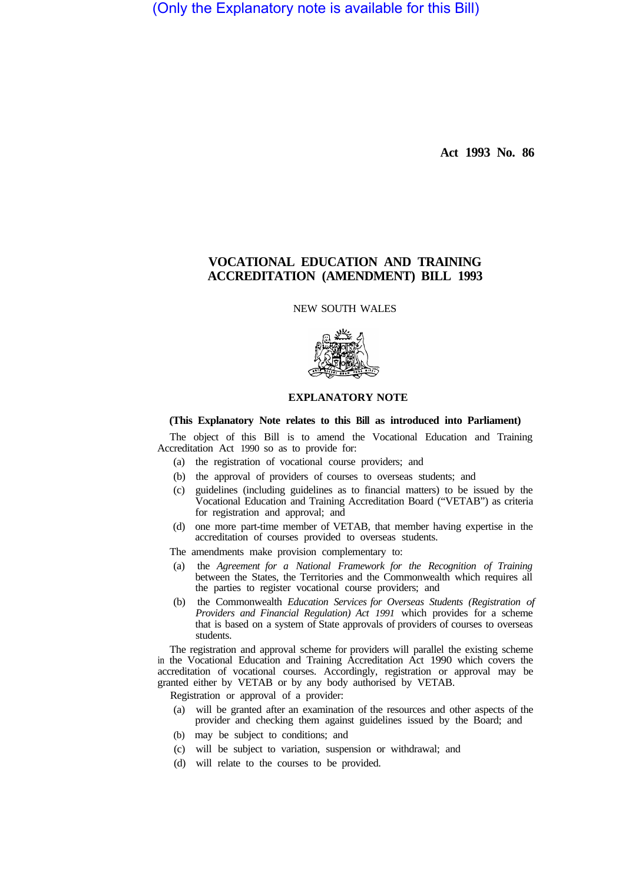(Only the Explanatory note is available for this Bill)

**Act 1993 No. 86** 

## **VOCATIONAL EDUCATION AND TRAINING ACCREDITATION (AMENDMENT) BILL 1993**

NEW SOUTH WALES



## **EXPLANATORY NOTE**

## **(This Explanatory Note relates to this Bill as introduced into Parliament)**

The object of this Bill is to amend the Vocational Education and Training Accreditation Act 1990 so as to provide for:

- (a) the registration of vocational course providers; and
- (b) the approval of providers of courses to overseas students; and
- (c) guidelines (including guidelines as to financial matters) to be issued by the Vocational Education and Training Accreditation Board ("VETAB") as criteria for registration and approval; and
- (d) one more part-time member of VETAB, that member having expertise in the accreditation of courses provided to overseas students.
- The amendments make provision complementary to:
- (a) the *Agreement for a National Framework for the Recognition of Training*  between the States, the Territories and the Commonwealth which requires all the parties to register vocational course providers; and
- (b) the Commonwealth *Education Services for Overseas Students (Registration of Providers and Financial Regulation) Act 1991* which provides for a scheme that is based on a system of State approvals of providers of courses to overseas students.

The registration and approval scheme for providers will parallel the existing scheme in the Vocational Education and Training Accreditation Act 1990 which covers the accreditation of vocational courses. Accordingly, registration or approval may be granted either by VETAB or by any body authorised by VETAB.

Registration or approval of a provider:

- (a) will be granted after an examination of the resources and other aspects of the provider and checking them against guidelines issued by the Board; and
- (b) may be subject to conditions; and
- (c) will be subject to variation, suspension or withdrawal; and
- (d) will relate to the courses to be provided.